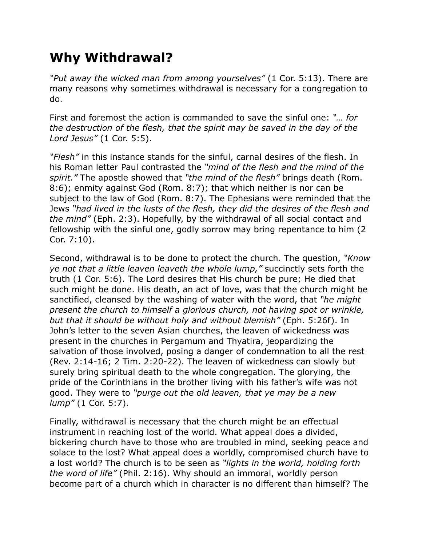## **Why Withdrawal?**

*"Put away the wicked man from among yourselves"* (1 Cor. 5:13). There are many reasons why sometimes withdrawal is necessary for a congregation to do.

First and foremost the action is commanded to save the sinful one: *"… for the destruction of the flesh, that the spirit may be saved in the day of the Lord Jesus"* (1 Cor. 5:5).

*"Flesh"* in this instance stands for the sinful, carnal desires of the flesh. In his Roman letter Paul contrasted the *"mind of the flesh and the mind of the spirit."* The apostle showed that *"the mind of the flesh"* brings death (Rom. 8:6); enmity against God (Rom. 8:7); that which neither is nor can be subject to the law of God (Rom. 8:7). The Ephesians were reminded that the Jews *"had lived in the lusts of the flesh, they did the desires of the flesh and the mind"* (Eph. 2:3). Hopefully, by the withdrawal of all social contact and fellowship with the sinful one, godly sorrow may bring repentance to him (2 Cor. 7:10).

Second, withdrawal is to be done to protect the church. The question, *"Know ye not that a little leaven leaveth the whole lump,"* succinctly sets forth the truth (1 Cor. 5:6). The Lord desires that His church be pure; He died that such might be done. His death, an act of love, was that the church might be sanctified, cleansed by the washing of water with the word, that *"he might present the church to himself a glorious church, not having spot or wrinkle, but that it should be without holy and without blemish"* (Eph. 5:26f). In John's letter to the seven Asian churches, the leaven of wickedness was present in the churches in Pergamum and Thyatira, jeopardizing the salvation of those involved, posing a danger of condemnation to all the rest (Rev. 2:14-16; 2 Tim. 2:20-22). The leaven of wickedness can slowly but surely bring spiritual death to the whole congregation. The glorying, the pride of the Corinthians in the brother living with his father's wife was not good. They were to *"purge out the old leaven, that ye may be a new lump"* (1 Cor. 5:7).

Finally, withdrawal is necessary that the church might be an effectual instrument in reaching lost of the world. What appeal does a divided, bickering church have to those who are troubled in mind, seeking peace and solace to the lost? What appeal does a worldly, compromised church have to a lost world? The church is to be seen as *"lights in the world, holding forth the word of life"* (Phil. 2:16). Why should an immoral, worldly person become part of a church which in character is no different than himself? The